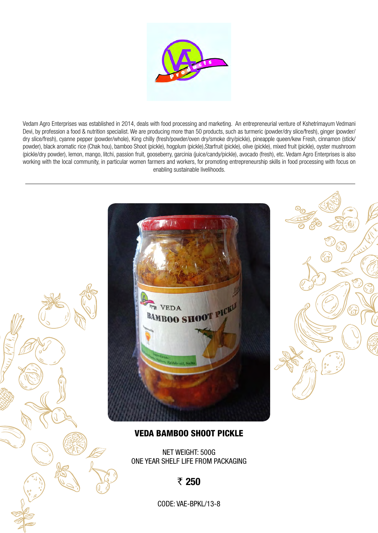

Vedam Agro Enterprises was established in 2014, deals with food processing and marketing. An entrepreneurial venture of Kshetrimayum Vedmani Devi, by profession a food & nutrition specialist. We are producing more than 50 products, such as turmeric (powder/dry slice/fresh), ginger (powder/ dry slice/fresh), cyanne pepper (powder/whole), King chilly (fresh/powder/oven dry/smoke dry/pickle), pineapple queen/kew Fresh, cinnamon (stick/ powder), black aromatic rice (Chak hou), bamboo Shoot (pickle), hogplum (pickle),Starfruit (pickle), olive (pickle), mixed fruit (pickle), oyster mushroom (pickle/dry powder), lemon, mango, litchi, passion fruit, gooseberry, garcinia (juice/candy/pickle), avocado (fresh), etc. Vedam Agro Enterprises is also working with the local community, in particular women farmers and workers, for promoting entrepreneurship skills in food processing with focus on enabling sustainable livelihoods.





#### VEDA Bamboo Shoot Pickle

Net Weight: 500g One year shelf life from packaging

#### ₹ 250

Code: VAE-Bpkl/13-8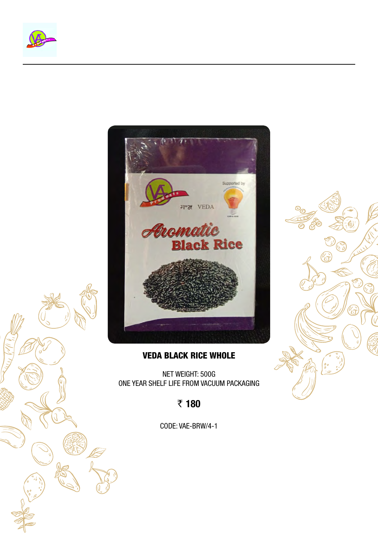



#### VEDA Black Rice Whole

Net Weight: 500g One year shelf life from vacuum packaging

₹ 180

Code: VAE-BrW/4-1

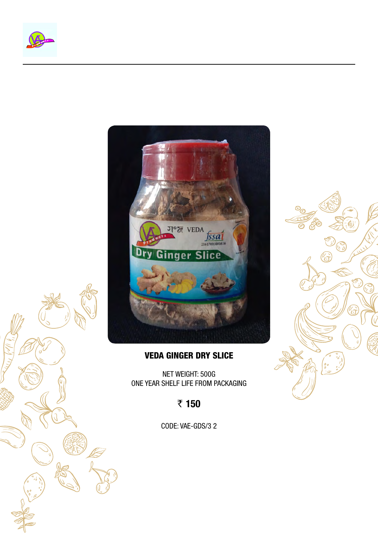



#### VEDA Ginger Dry Slice

Net Weight: 500g One year shelf life from packaging

₹ 150

CODE: VAE-GDS/3 2

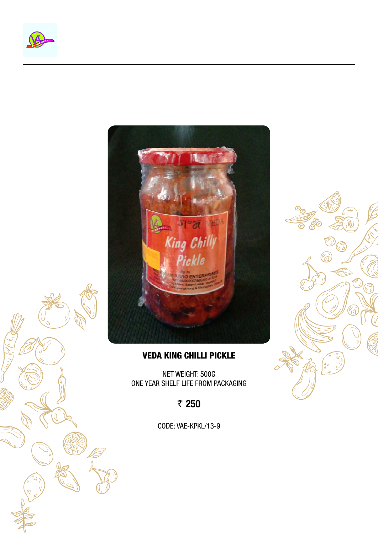



#### VEDA King Chilli Pickle

Net Weight: 500g One year shelf life from packaging

₹ 250

Code: VAE-Kpkl/13-9

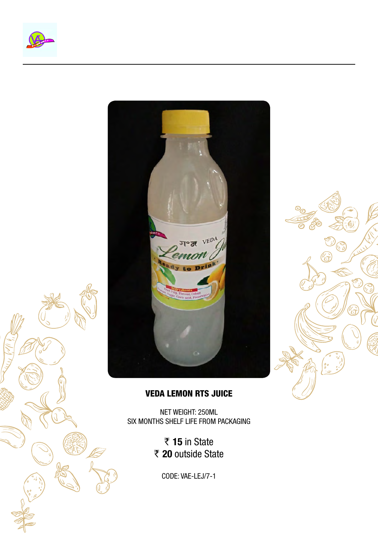





## VEDA Lemon RTS Juice

Net Weight: 250ml Six months shelf life from packaging

> ₹ 15 in State ₹ 20 outside State

> > Code: VAE-LeJ/7-1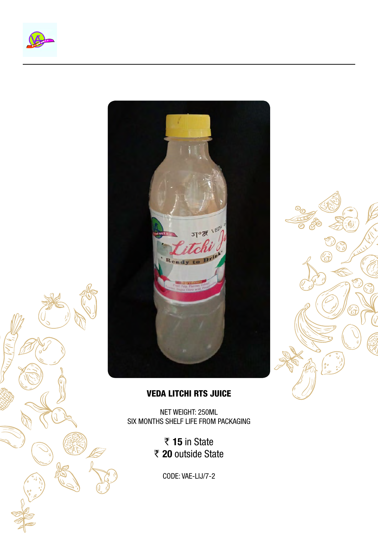





### VEDA Litchi RTS Juice

Net Weight: 250ml Six months shelf life from packaging

> ₹ 15 in State ₹ 20 outside State

> > Code: VAE-LiJ/7-2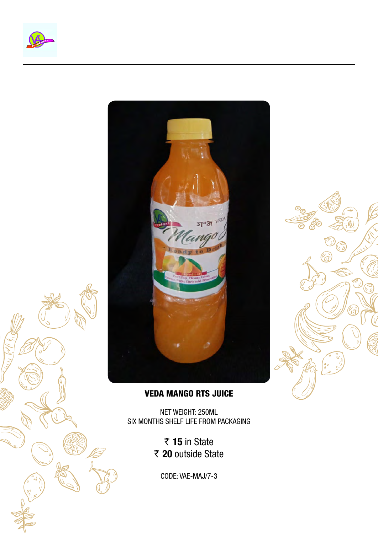





## VEDA Mango RTS Juice

Net Weight: 250ml Six months shelf life from packaging

> ₹ 15 in State ₹ 20 outside State

Code: VAE-MaJ/7-3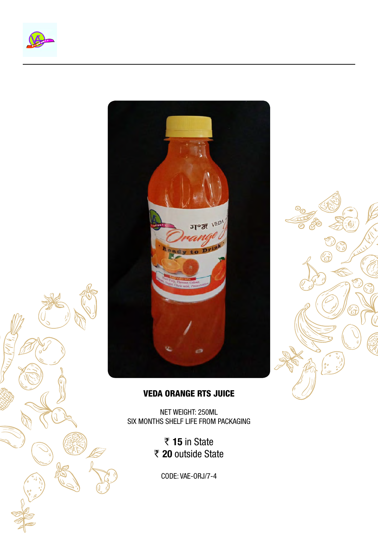





## VEDA Orange RTS Juice

Net Weight: 250ml Six months shelf life from packaging

> ₹ 15 in State ₹ 20 outside State

Code: VAE-OrJ/7-4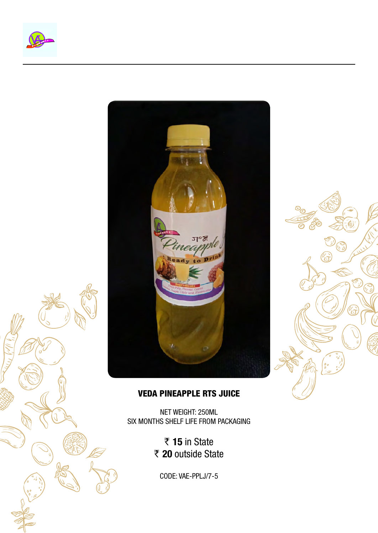





## VEDA Pineapple RTS Juice

Net Weight: 250ml Six months shelf life from packaging

> ₹ 15 in State ₹ 20 outside State

Code: VAE-PplJ/7-5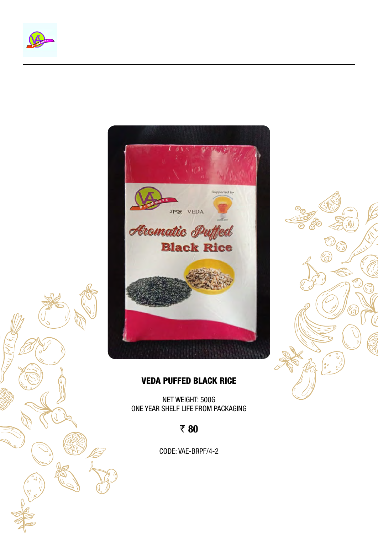





#### VEDA Puffed Black Rice

Net Weight: 500g One year shelf life from packaging

₹80

Code: VAE-BrPf/4-2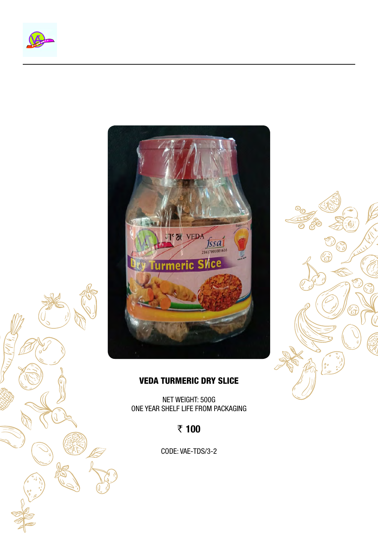





### VEDA Turmeric Dry Slice

Net Weight: 500g One year shelf life from packaging

# ₹ 100

CODE: VAE-TDS/3-2